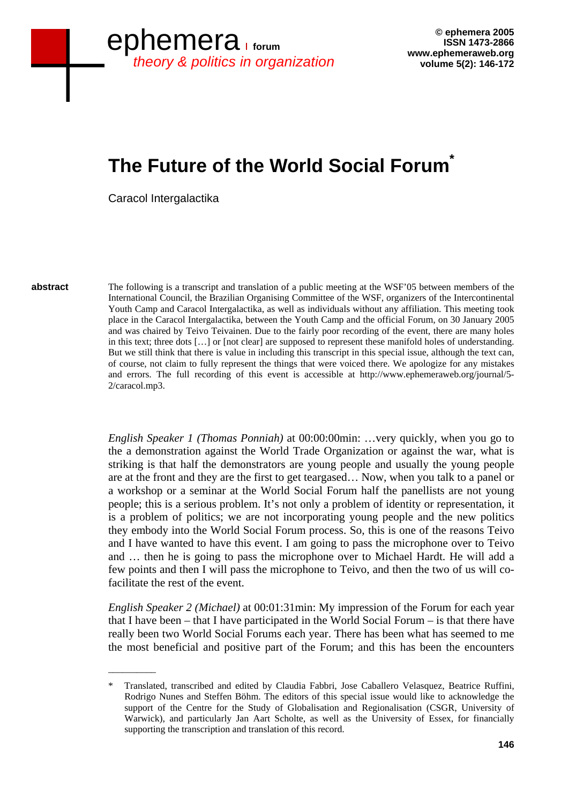# **The Future of the World Social Forum<sup>\*</sup>**

Caracol Intergalactika

 $\overline{\phantom{a}}$ 

**abstract** 

The following is a transcript and translation of a public meeting at the WSF'05 between members of the International Council, the Brazilian Organising Committee of the WSF, organizers of the Intercontinental Youth Camp and Caracol Intergalactika, as well as individuals without any affiliation. This meeting took place in the Caracol Intergalactika, between the Youth Camp and the official Forum, on 30 January 2005 and was chaired by Teivo Teivainen. Due to the fairly poor recording of the event, there are many holes in this text; three dots […] or [not clear] are supposed to represent these manifold holes of understanding. But we still think that there is value in including this transcript in this special issue, although the text can, of course, not claim to fully represent the things that were voiced there. We apologize for any mistakes and errors. The full recording of this event is accessible at http://www.ephemeraweb.org/journal/5- 2/caracol.mp3.

*English Speaker 1 (Thomas Ponniah)* at 00:00:00min: …very quickly, when you go to the a demonstration against the World Trade Organization or against the war, what is striking is that half the demonstrators are young people and usually the young people are at the front and they are the first to get teargased… Now, when you talk to a panel or a workshop or a seminar at the World Social Forum half the panellists are not young people; this is a serious problem. It's not only a problem of identity or representation, it is a problem of politics; we are not incorporating young people and the new politics they embody into the World Social Forum process. So, this is one of the reasons Teivo and I have wanted to have this event. I am going to pass the microphone over to Teivo and … then he is going to pass the microphone over to Michael Hardt. He will add a few points and then I will pass the microphone to Teivo, and then the two of us will cofacilitate the rest of the event.

*English Speaker 2 (Michael)* at 00:01:31min: My impression of the Forum for each year that I have been – that I have participated in the World Social Forum – is that there have really been two World Social Forums each year. There has been what has seemed to me the most beneficial and positive part of the Forum; and this has been the encounters

<sup>\*</sup> Translated, transcribed and edited by Claudia Fabbri, Jose Caballero Velasquez, Beatrice Ruffini, Rodrigo Nunes and Steffen Böhm. The editors of this special issue would like to acknowledge the support of the Centre for the Study of Globalisation and Regionalisation (CSGR, University of Warwick), and particularly Jan Aart Scholte, as well as the University of Essex, for financially supporting the transcription and translation of this record.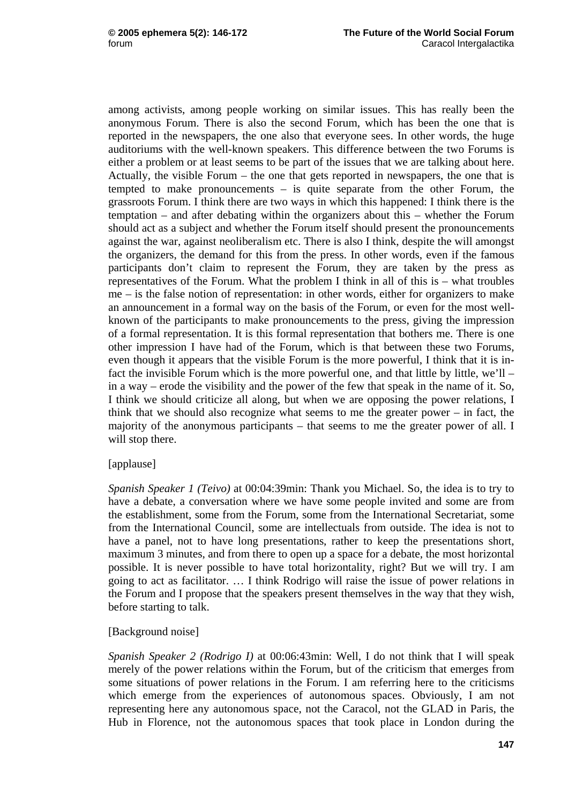among activists, among people working on similar issues. This has really been the anonymous Forum. There is also the second Forum, which has been the one that is reported in the newspapers, the one also that everyone sees. In other words, the huge auditoriums with the well-known speakers. This difference between the two Forums is either a problem or at least seems to be part of the issues that we are talking about here. Actually, the visible Forum – the one that gets reported in newspapers, the one that is tempted to make pronouncements – is quite separate from the other Forum, the grassroots Forum. I think there are two ways in which this happened: I think there is the temptation – and after debating within the organizers about this – whether the Forum should act as a subject and whether the Forum itself should present the pronouncements against the war, against neoliberalism etc. There is also I think, despite the will amongst the organizers, the demand for this from the press. In other words, even if the famous participants don't claim to represent the Forum, they are taken by the press as representatives of the Forum. What the problem I think in all of this is – what troubles me – is the false notion of representation: in other words, either for organizers to make an announcement in a formal way on the basis of the Forum, or even for the most wellknown of the participants to make pronouncements to the press, giving the impression of a formal representation. It is this formal representation that bothers me. There is one other impression I have had of the Forum, which is that between these two Forums, even though it appears that the visible Forum is the more powerful, I think that it is infact the invisible Forum which is the more powerful one, and that little by little, we'll – in a way – erode the visibility and the power of the few that speak in the name of it. So, I think we should criticize all along, but when we are opposing the power relations, I think that we should also recognize what seems to me the greater power – in fact, the majority of the anonymous participants – that seems to me the greater power of all. I will stop there.

# [applause]

*Spanish Speaker 1 (Teivo)* at 00:04:39min: Thank you Michael. So, the idea is to try to have a debate, a conversation where we have some people invited and some are from the establishment, some from the Forum, some from the International Secretariat, some from the International Council, some are intellectuals from outside. The idea is not to have a panel, not to have long presentations, rather to keep the presentations short, maximum 3 minutes, and from there to open up a space for a debate, the most horizontal possible. It is never possible to have total horizontality, right? But we will try. I am going to act as facilitator. … I think Rodrigo will raise the issue of power relations in the Forum and I propose that the speakers present themselves in the way that they wish, before starting to talk.

# [Background noise]

*Spanish Speaker 2 (Rodrigo I)* at 00:06:43min: Well, I do not think that I will speak merely of the power relations within the Forum, but of the criticism that emerges from some situations of power relations in the Forum. I am referring here to the criticisms which emerge from the experiences of autonomous spaces. Obviously, I am not representing here any autonomous space, not the Caracol, not the GLAD in Paris, the Hub in Florence, not the autonomous spaces that took place in London during the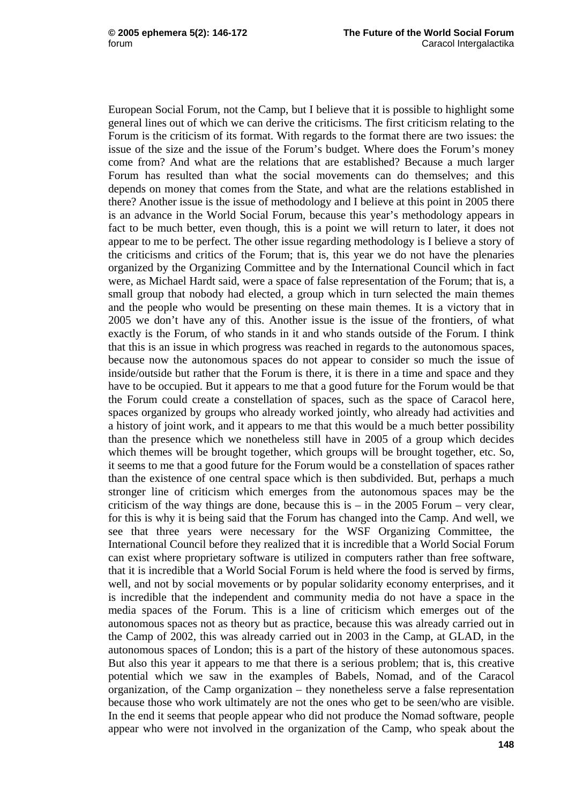European Social Forum, not the Camp, but I believe that it is possible to highlight some general lines out of which we can derive the criticisms. The first criticism relating to the Forum is the criticism of its format. With regards to the format there are two issues: the issue of the size and the issue of the Forum's budget. Where does the Forum's money come from? And what are the relations that are established? Because a much larger Forum has resulted than what the social movements can do themselves; and this depends on money that comes from the State, and what are the relations established in there? Another issue is the issue of methodology and I believe at this point in 2005 there is an advance in the World Social Forum, because this year's methodology appears in fact to be much better, even though, this is a point we will return to later, it does not appear to me to be perfect. The other issue regarding methodology is I believe a story of the criticisms and critics of the Forum; that is, this year we do not have the plenaries organized by the Organizing Committee and by the International Council which in fact were, as Michael Hardt said, were a space of false representation of the Forum; that is, a small group that nobody had elected, a group which in turn selected the main themes and the people who would be presenting on these main themes. It is a victory that in 2005 we don't have any of this. Another issue is the issue of the frontiers, of what exactly is the Forum, of who stands in it and who stands outside of the Forum. I think that this is an issue in which progress was reached in regards to the autonomous spaces, because now the autonomous spaces do not appear to consider so much the issue of inside/outside but rather that the Forum is there, it is there in a time and space and they have to be occupied. But it appears to me that a good future for the Forum would be that the Forum could create a constellation of spaces, such as the space of Caracol here, spaces organized by groups who already worked jointly, who already had activities and a history of joint work, and it appears to me that this would be a much better possibility than the presence which we nonetheless still have in 2005 of a group which decides which themes will be brought together, which groups will be brought together, etc. So, it seems to me that a good future for the Forum would be a constellation of spaces rather than the existence of one central space which is then subdivided. But, perhaps a much stronger line of criticism which emerges from the autonomous spaces may be the criticism of the way things are done, because this is  $-$  in the 2005 Forum  $-$  very clear, for this is why it is being said that the Forum has changed into the Camp. And well, we see that three years were necessary for the WSF Organizing Committee, the International Council before they realized that it is incredible that a World Social Forum can exist where proprietary software is utilized in computers rather than free software, that it is incredible that a World Social Forum is held where the food is served by firms, well, and not by social movements or by popular solidarity economy enterprises, and it is incredible that the independent and community media do not have a space in the media spaces of the Forum. This is a line of criticism which emerges out of the autonomous spaces not as theory but as practice, because this was already carried out in the Camp of 2002, this was already carried out in 2003 in the Camp, at GLAD, in the autonomous spaces of London; this is a part of the history of these autonomous spaces. But also this year it appears to me that there is a serious problem; that is, this creative potential which we saw in the examples of Babels, Nomad, and of the Caracol organization, of the Camp organization – they nonetheless serve a false representation because those who work ultimately are not the ones who get to be seen/who are visible. In the end it seems that people appear who did not produce the Nomad software, people appear who were not involved in the organization of the Camp, who speak about the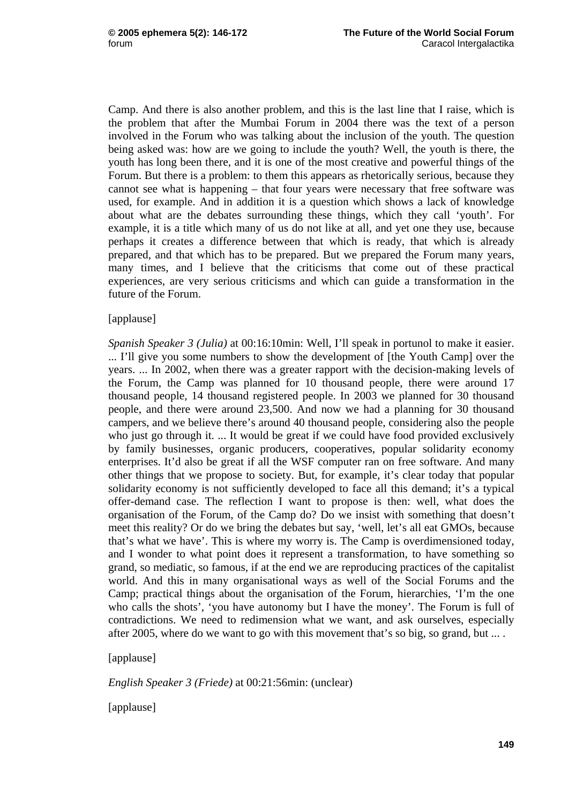Camp. And there is also another problem, and this is the last line that I raise, which is the problem that after the Mumbai Forum in 2004 there was the text of a person involved in the Forum who was talking about the inclusion of the youth. The question being asked was: how are we going to include the youth? Well, the youth is there, the youth has long been there, and it is one of the most creative and powerful things of the Forum. But there is a problem: to them this appears as rhetorically serious, because they cannot see what is happening – that four years were necessary that free software was used, for example. And in addition it is a question which shows a lack of knowledge about what are the debates surrounding these things, which they call 'youth'. For example, it is a title which many of us do not like at all, and yet one they use, because perhaps it creates a difference between that which is ready, that which is already prepared, and that which has to be prepared. But we prepared the Forum many years, many times, and I believe that the criticisms that come out of these practical experiences, are very serious criticisms and which can guide a transformation in the future of the Forum.

#### [applause]

*Spanish Speaker 3 (Julia)* at 00:16:10min: Well, I'll speak in portunol to make it easier. ... I'll give you some numbers to show the development of [the Youth Camp] over the years. ... In 2002, when there was a greater rapport with the decision-making levels of the Forum, the Camp was planned for 10 thousand people, there were around 17 thousand people, 14 thousand registered people. In 2003 we planned for 30 thousand people, and there were around 23,500. And now we had a planning for 30 thousand campers, and we believe there's around 40 thousand people, considering also the people who just go through it. ... It would be great if we could have food provided exclusively by family businesses, organic producers, cooperatives, popular solidarity economy enterprises. It'd also be great if all the WSF computer ran on free software. And many other things that we propose to society. But, for example, it's clear today that popular solidarity economy is not sufficiently developed to face all this demand; it's a typical offer-demand case. The reflection I want to propose is then: well, what does the organisation of the Forum, of the Camp do? Do we insist with something that doesn't meet this reality? Or do we bring the debates but say, 'well, let's all eat GMOs, because that's what we have'. This is where my worry is. The Camp is overdimensioned today, and I wonder to what point does it represent a transformation, to have something so grand, so mediatic, so famous, if at the end we are reproducing practices of the capitalist world. And this in many organisational ways as well of the Social Forums and the Camp; practical things about the organisation of the Forum, hierarchies, 'I'm the one who calls the shots', 'you have autonomy but I have the money'. The Forum is full of contradictions. We need to redimension what we want, and ask ourselves, especially after 2005, where do we want to go with this movement that's so big, so grand, but ....

#### [applause]

*English Speaker 3 (Friede)* at 00:21:56min: (unclear)

[applause]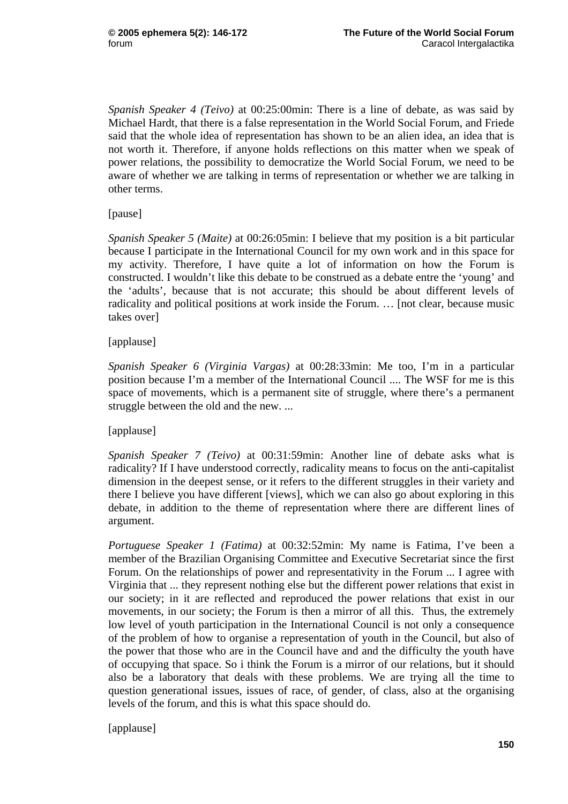*Spanish Speaker 4 (Teivo)* at 00:25:00min: There is a line of debate, as was said by Michael Hardt, that there is a false representation in the World Social Forum, and Friede said that the whole idea of representation has shown to be an alien idea, an idea that is not worth it. Therefore, if anyone holds reflections on this matter when we speak of power relations, the possibility to democratize the World Social Forum, we need to be aware of whether we are talking in terms of representation or whether we are talking in other terms.

[pause]

*Spanish Speaker 5 (Maite)* at 00:26:05min: I believe that my position is a bit particular because I participate in the International Council for my own work and in this space for my activity. Therefore, I have quite a lot of information on how the Forum is constructed. I wouldn't like this debate to be construed as a debate entre the 'young' and the 'adults', because that is not accurate; this should be about different levels of radicality and political positions at work inside the Forum. … [not clear, because music takes over]

# [applause]

*Spanish Speaker 6 (Virginia Vargas)* at 00:28:33min: Me too, I'm in a particular position because I'm a member of the International Council .... The WSF for me is this space of movements, which is a permanent site of struggle, where there's a permanent struggle between the old and the new. ...

# [applause]

*Spanish Speaker 7 (Teivo)* at 00:31:59min: Another line of debate asks what is radicality? If I have understood correctly, radicality means to focus on the anti-capitalist dimension in the deepest sense, or it refers to the different struggles in their variety and there I believe you have different [views], which we can also go about exploring in this debate, in addition to the theme of representation where there are different lines of argument.

*Portuguese Speaker 1 (Fatima)* at 00:32:52min: My name is Fatima, I've been a member of the Brazilian Organising Committee and Executive Secretariat since the first Forum. On the relationships of power and representativity in the Forum ... I agree with Virginia that ... they represent nothing else but the different power relations that exist in our society; in it are reflected and reproduced the power relations that exist in our movements, in our society; the Forum is then a mirror of all this. Thus, the extremely low level of youth participation in the International Council is not only a consequence of the problem of how to organise a representation of youth in the Council, but also of the power that those who are in the Council have and and the difficulty the youth have of occupying that space. So i think the Forum is a mirror of our relations, but it should also be a laboratory that deals with these problems. We are trying all the time to question generational issues, issues of race, of gender, of class, also at the organising levels of the forum, and this is what this space should do.

[applause]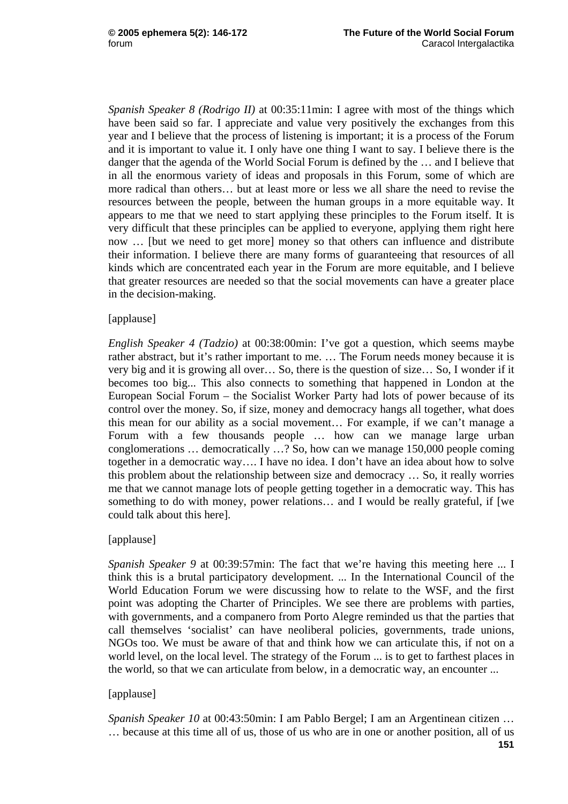*Spanish Speaker 8 (Rodrigo II)* at 00:35:11min: I agree with most of the things which have been said so far. I appreciate and value very positively the exchanges from this year and I believe that the process of listening is important; it is a process of the Forum and it is important to value it. I only have one thing I want to say. I believe there is the danger that the agenda of the World Social Forum is defined by the … and I believe that in all the enormous variety of ideas and proposals in this Forum, some of which are more radical than others… but at least more or less we all share the need to revise the resources between the people, between the human groups in a more equitable way. It appears to me that we need to start applying these principles to the Forum itself. It is very difficult that these principles can be applied to everyone, applying them right here now … [but we need to get more] money so that others can influence and distribute their information. I believe there are many forms of guaranteeing that resources of all kinds which are concentrated each year in the Forum are more equitable, and I believe that greater resources are needed so that the social movements can have a greater place in the decision-making.

## [applause]

*English Speaker 4 (Tadzio)* at 00:38:00min: I've got a question, which seems maybe rather abstract, but it's rather important to me. … The Forum needs money because it is very big and it is growing all over… So, there is the question of size… So, I wonder if it becomes too big... This also connects to something that happened in London at the European Social Forum – the Socialist Worker Party had lots of power because of its control over the money. So, if size, money and democracy hangs all together, what does this mean for our ability as a social movement… For example, if we can't manage a Forum with a few thousands people … how can we manage large urban conglomerations … democratically …? So, how can we manage 150,000 people coming together in a democratic way…. I have no idea. I don't have an idea about how to solve this problem about the relationship between size and democracy … So, it really worries me that we cannot manage lots of people getting together in a democratic way. This has something to do with money, power relations… and I would be really grateful, if [we could talk about this here].

# [applause]

*Spanish Speaker 9* at 00:39:57min: The fact that we're having this meeting here ... I think this is a brutal participatory development. ... In the International Council of the World Education Forum we were discussing how to relate to the WSF, and the first point was adopting the Charter of Principles. We see there are problems with parties, with governments, and a companero from Porto Alegre reminded us that the parties that call themselves 'socialist' can have neoliberal policies, governments, trade unions, NGOs too. We must be aware of that and think how we can articulate this, if not on a world level, on the local level. The strategy of the Forum ... is to get to farthest places in the world, so that we can articulate from below, in a democratic way, an encounter ...

# [applause]

*Spanish Speaker 10* at 00:43:50min: I am Pablo Bergel; I am an Argentinean citizen … … because at this time all of us, those of us who are in one or another position, all of us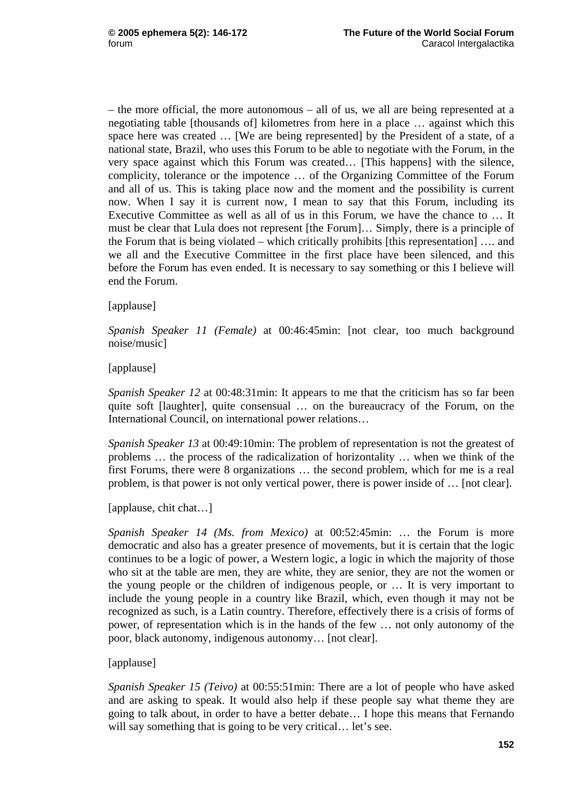– the more official, the more autonomous – all of us, we all are being represented at a negotiating table [thousands of] kilometres from here in a place … against which this space here was created … [We are being represented] by the President of a state, of a national state, Brazil, who uses this Forum to be able to negotiate with the Forum, in the very space against which this Forum was created… [This happens] with the silence, complicity, tolerance or the impotence … of the Organizing Committee of the Forum and all of us. This is taking place now and the moment and the possibility is current now. When I say it is current now, I mean to say that this Forum, including its Executive Committee as well as all of us in this Forum, we have the chance to … It must be clear that Lula does not represent [the Forum]… Simply, there is a principle of the Forum that is being violated – which critically prohibits [this representation] …. and we all and the Executive Committee in the first place have been silenced, and this before the Forum has even ended. It is necessary to say something or this I believe will end the Forum.

[applause]

*Spanish Speaker 11 (Female)* at 00:46:45min: [not clear, too much background noise/music]

[applause]

*Spanish Speaker 12* at 00:48:31min: It appears to me that the criticism has so far been quite soft [laughter], quite consensual … on the bureaucracy of the Forum, on the International Council, on international power relations…

*Spanish Speaker 13* at 00:49:10min: The problem of representation is not the greatest of problems … the process of the radicalization of horizontality … when we think of the first Forums, there were 8 organizations … the second problem, which for me is a real problem, is that power is not only vertical power, there is power inside of … [not clear].

[applause, chit chat…]

*Spanish Speaker 14 (Ms. from Mexico)* at 00:52:45min: … the Forum is more democratic and also has a greater presence of movements, but it is certain that the logic continues to be a logic of power, a Western logic, a logic in which the majority of those who sit at the table are men, they are white, they are senior, they are not the women or the young people or the children of indigenous people, or … It is very important to include the young people in a country like Brazil, which, even though it may not be recognized as such, is a Latin country. Therefore, effectively there is a crisis of forms of power, of representation which is in the hands of the few … not only autonomy of the poor, black autonomy, indigenous autonomy… [not clear].

[applause]

*Spanish Speaker 15 (Teivo)* at 00:55:51min: There are a lot of people who have asked and are asking to speak. It would also help if these people say what theme they are going to talk about, in order to have a better debate… I hope this means that Fernando will say something that is going to be very critical... let's see.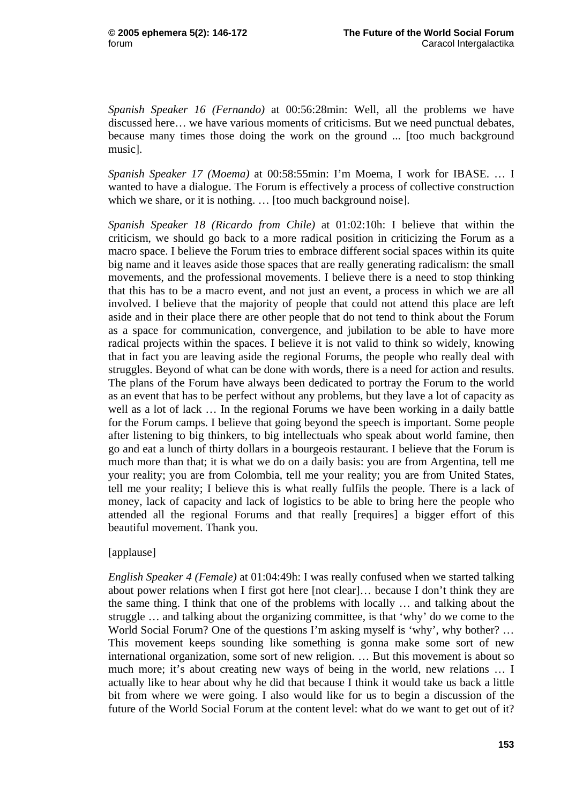*Spanish Speaker 16 (Fernando)* at 00:56:28min: Well, all the problems we have discussed here… we have various moments of criticisms. But we need punctual debates, because many times those doing the work on the ground ... [too much background music].

*Spanish Speaker 17 (Moema)* at 00:58:55min: I'm Moema, I work for IBASE. … I wanted to have a dialogue. The Forum is effectively a process of collective construction which we share, or it is nothing. ... [too much background noise].

*Spanish Speaker 18 (Ricardo from Chile)* at 01:02:10h: I believe that within the criticism, we should go back to a more radical position in criticizing the Forum as a macro space. I believe the Forum tries to embrace different social spaces within its quite big name and it leaves aside those spaces that are really generating radicalism: the small movements, and the professional movements. I believe there is a need to stop thinking that this has to be a macro event, and not just an event, a process in which we are all involved. I believe that the majority of people that could not attend this place are left aside and in their place there are other people that do not tend to think about the Forum as a space for communication, convergence, and jubilation to be able to have more radical projects within the spaces. I believe it is not valid to think so widely, knowing that in fact you are leaving aside the regional Forums, the people who really deal with struggles. Beyond of what can be done with words, there is a need for action and results. The plans of the Forum have always been dedicated to portray the Forum to the world as an event that has to be perfect without any problems, but they lave a lot of capacity as well as a lot of lack … In the regional Forums we have been working in a daily battle for the Forum camps. I believe that going beyond the speech is important. Some people after listening to big thinkers, to big intellectuals who speak about world famine, then go and eat a lunch of thirty dollars in a bourgeois restaurant. I believe that the Forum is much more than that; it is what we do on a daily basis: you are from Argentina, tell me your reality; you are from Colombia, tell me your reality; you are from United States, tell me your reality; I believe this is what really fulfils the people. There is a lack of money, lack of capacity and lack of logistics to be able to bring here the people who attended all the regional Forums and that really [requires] a bigger effort of this beautiful movement. Thank you.

#### [applause]

*English Speaker 4 (Female)* at 01:04:49h: I was really confused when we started talking about power relations when I first got here [not clear]… because I don't think they are the same thing. I think that one of the problems with locally … and talking about the struggle … and talking about the organizing committee, is that 'why' do we come to the World Social Forum? One of the questions I'm asking myself is 'why', why bother? … This movement keeps sounding like something is gonna make some sort of new international organization, some sort of new religion. … But this movement is about so much more; it's about creating new ways of being in the world, new relations … I actually like to hear about why he did that because I think it would take us back a little bit from where we were going. I also would like for us to begin a discussion of the future of the World Social Forum at the content level: what do we want to get out of it?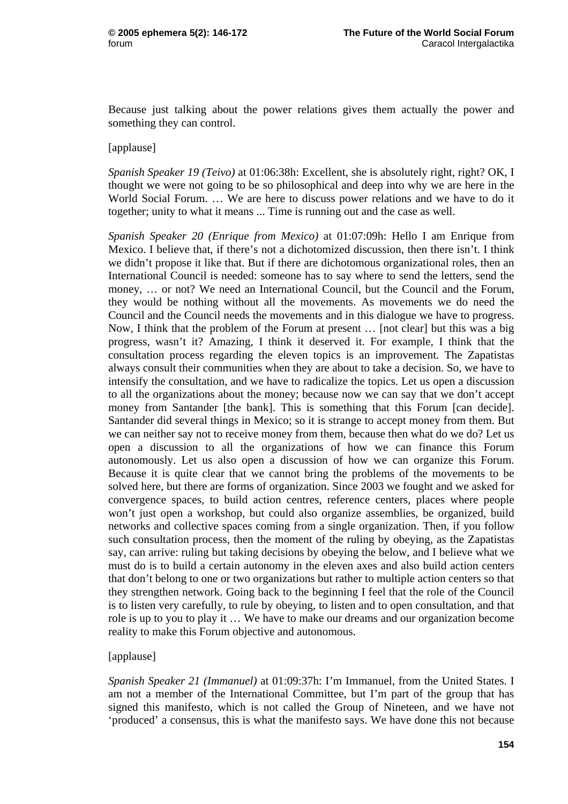Because just talking about the power relations gives them actually the power and something they can control.

#### [applause]

*Spanish Speaker 19 (Teivo)* at 01:06:38h: Excellent, she is absolutely right, right? OK, I thought we were not going to be so philosophical and deep into why we are here in the World Social Forum. … We are here to discuss power relations and we have to do it together; unity to what it means ... Time is running out and the case as well.

*Spanish Speaker 20 (Enrique from Mexico)* at 01:07:09h: Hello I am Enrique from Mexico. I believe that, if there's not a dichotomized discussion, then there isn't. I think we didn't propose it like that. But if there are dichotomous organizational roles, then an International Council is needed: someone has to say where to send the letters, send the money, … or not? We need an International Council, but the Council and the Forum, they would be nothing without all the movements. As movements we do need the Council and the Council needs the movements and in this dialogue we have to progress. Now, I think that the problem of the Forum at present … [not clear] but this was a big progress, wasn't it? Amazing, I think it deserved it. For example, I think that the consultation process regarding the eleven topics is an improvement. The Zapatistas always consult their communities when they are about to take a decision. So, we have to intensify the consultation, and we have to radicalize the topics. Let us open a discussion to all the organizations about the money; because now we can say that we don't accept money from Santander [the bank]. This is something that this Forum [can decide]. Santander did several things in Mexico; so it is strange to accept money from them. But we can neither say not to receive money from them, because then what do we do? Let us open a discussion to all the organizations of how we can finance this Forum autonomously. Let us also open a discussion of how we can organize this Forum. Because it is quite clear that we cannot bring the problems of the movements to be solved here, but there are forms of organization. Since 2003 we fought and we asked for convergence spaces, to build action centres, reference centers, places where people won't just open a workshop, but could also organize assemblies, be organized, build networks and collective spaces coming from a single organization. Then, if you follow such consultation process, then the moment of the ruling by obeying, as the Zapatistas say, can arrive: ruling but taking decisions by obeying the below, and I believe what we must do is to build a certain autonomy in the eleven axes and also build action centers that don't belong to one or two organizations but rather to multiple action centers so that they strengthen network. Going back to the beginning I feel that the role of the Council is to listen very carefully, to rule by obeying, to listen and to open consultation, and that role is up to you to play it … We have to make our dreams and our organization become reality to make this Forum objective and autonomous.

#### [applause]

*Spanish Speaker 21 (Immanuel)* at 01:09:37h: I'm Immanuel, from the United States. I am not a member of the International Committee, but I'm part of the group that has signed this manifesto, which is not called the Group of Nineteen, and we have not 'produced' a consensus, this is what the manifesto says. We have done this not because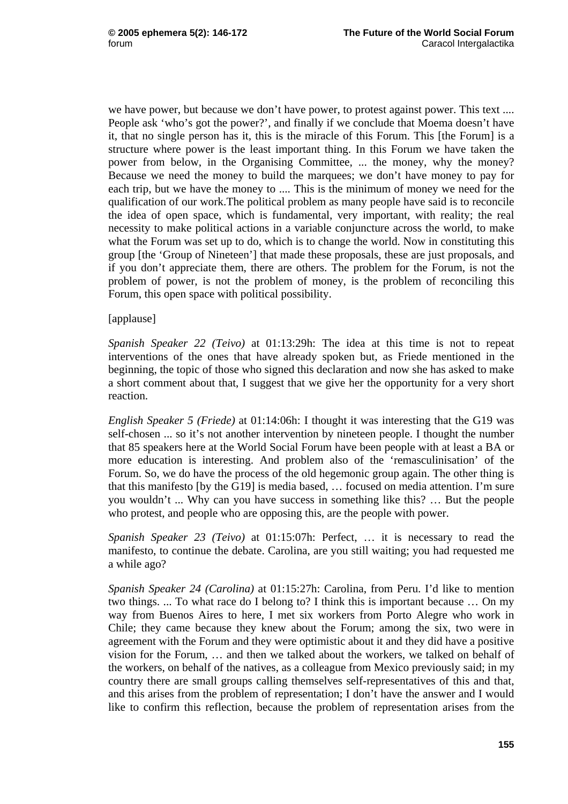we have power, but because we don't have power, to protest against power. This text .... People ask 'who's got the power?', and finally if we conclude that Moema doesn't have it, that no single person has it, this is the miracle of this Forum. This [the Forum] is a structure where power is the least important thing. In this Forum we have taken the power from below, in the Organising Committee, ... the money, why the money? Because we need the money to build the marquees; we don't have money to pay for each trip, but we have the money to .... This is the minimum of money we need for the qualification of our work.The political problem as many people have said is to reconcile the idea of open space, which is fundamental, very important, with reality; the real necessity to make political actions in a variable conjuncture across the world, to make what the Forum was set up to do, which is to change the world. Now in constituting this group [the 'Group of Nineteen'] that made these proposals, these are just proposals, and if you don't appreciate them, there are others. The problem for the Forum, is not the problem of power, is not the problem of money, is the problem of reconciling this Forum, this open space with political possibility.

[applause]

*Spanish Speaker 22 (Teivo)* at 01:13:29h: The idea at this time is not to repeat interventions of the ones that have already spoken but, as Friede mentioned in the beginning, the topic of those who signed this declaration and now she has asked to make a short comment about that, I suggest that we give her the opportunity for a very short reaction.

*English Speaker 5 (Friede)* at 01:14:06h: I thought it was interesting that the G19 was self-chosen ... so it's not another intervention by nineteen people. I thought the number that 85 speakers here at the World Social Forum have been people with at least a BA or more education is interesting. And problem also of the 'remasculinisation' of the Forum. So, we do have the process of the old hegemonic group again. The other thing is that this manifesto [by the G19] is media based, … focused on media attention. I'm sure you wouldn't ... Why can you have success in something like this? … But the people who protest, and people who are opposing this, are the people with power.

*Spanish Speaker 23 (Teivo)* at 01:15:07h: Perfect, … it is necessary to read the manifesto, to continue the debate. Carolina, are you still waiting; you had requested me a while ago?

*Spanish Speaker 24 (Carolina)* at 01:15:27h: Carolina, from Peru. I'd like to mention two things. ... To what race do I belong to? I think this is important because … On my way from Buenos Aires to here, I met six workers from Porto Alegre who work in Chile; they came because they knew about the Forum; among the six, two were in agreement with the Forum and they were optimistic about it and they did have a positive vision for the Forum, … and then we talked about the workers, we talked on behalf of the workers, on behalf of the natives, as a colleague from Mexico previously said; in my country there are small groups calling themselves self-representatives of this and that, and this arises from the problem of representation; I don't have the answer and I would like to confirm this reflection, because the problem of representation arises from the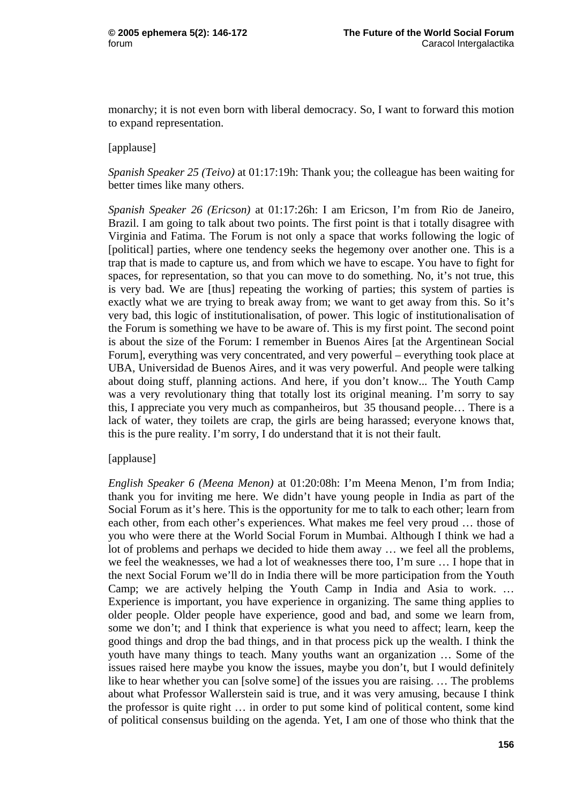monarchy; it is not even born with liberal democracy. So, I want to forward this motion to expand representation.

### [applause]

*Spanish Speaker 25 (Teivo)* at 01:17:19h: Thank you; the colleague has been waiting for better times like many others.

*Spanish Speaker 26 (Ericson)* at 01:17:26h: I am Ericson, I'm from Rio de Janeiro, Brazil. I am going to talk about two points. The first point is that i totally disagree with Virginia and Fatima. The Forum is not only a space that works following the logic of [political] parties, where one tendency seeks the hegemony over another one. This is a trap that is made to capture us, and from which we have to escape. You have to fight for spaces, for representation, so that you can move to do something. No, it's not true, this is very bad. We are [thus] repeating the working of parties; this system of parties is exactly what we are trying to break away from; we want to get away from this. So it's very bad, this logic of institutionalisation, of power. This logic of institutionalisation of the Forum is something we have to be aware of. This is my first point. The second point is about the size of the Forum: I remember in Buenos Aires [at the Argentinean Social Forum], everything was very concentrated, and very powerful – everything took place at UBA, Universidad de Buenos Aires, and it was very powerful. And people were talking about doing stuff, planning actions. And here, if you don't know... The Youth Camp was a very revolutionary thing that totally lost its original meaning. I'm sorry to say this, I appreciate you very much as companheiros, but 35 thousand people… There is a lack of water, they toilets are crap, the girls are being harassed; everyone knows that, this is the pure reality. I'm sorry, I do understand that it is not their fault.

#### [applause]

*English Speaker 6 (Meena Menon)* at 01:20:08h: I'm Meena Menon, I'm from India; thank you for inviting me here. We didn't have young people in India as part of the Social Forum as it's here. This is the opportunity for me to talk to each other; learn from each other, from each other's experiences. What makes me feel very proud … those of you who were there at the World Social Forum in Mumbai. Although I think we had a lot of problems and perhaps we decided to hide them away … we feel all the problems, we feel the weaknesses, we had a lot of weaknesses there too, I'm sure … I hope that in the next Social Forum we'll do in India there will be more participation from the Youth Camp; we are actively helping the Youth Camp in India and Asia to work. … Experience is important, you have experience in organizing. The same thing applies to older people. Older people have experience, good and bad, and some we learn from, some we don't; and I think that experience is what you need to affect; learn, keep the good things and drop the bad things, and in that process pick up the wealth. I think the youth have many things to teach. Many youths want an organization … Some of the issues raised here maybe you know the issues, maybe you don't, but I would definitely like to hear whether you can [solve some] of the issues you are raising. … The problems about what Professor Wallerstein said is true, and it was very amusing, because I think the professor is quite right … in order to put some kind of political content, some kind of political consensus building on the agenda. Yet, I am one of those who think that the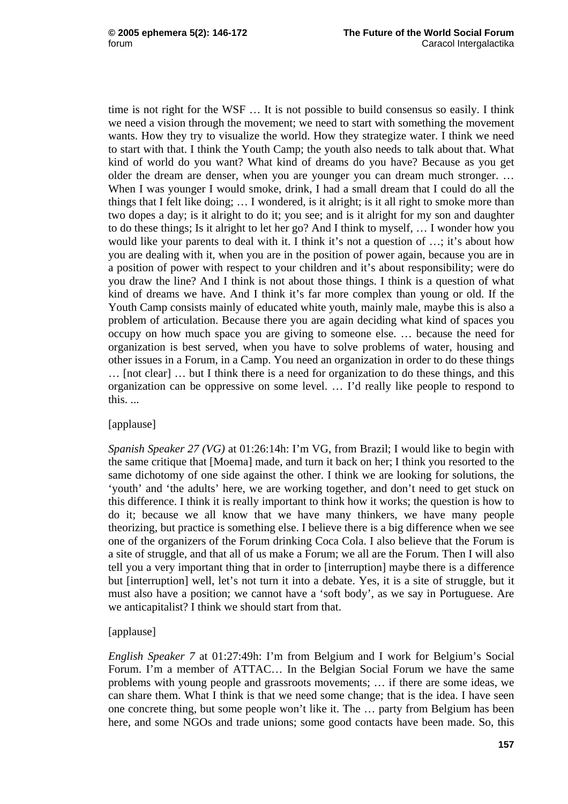time is not right for the WSF … It is not possible to build consensus so easily. I think we need a vision through the movement; we need to start with something the movement wants. How they try to visualize the world. How they strategize water. I think we need to start with that. I think the Youth Camp; the youth also needs to talk about that. What kind of world do you want? What kind of dreams do you have? Because as you get older the dream are denser, when you are younger you can dream much stronger. … When I was younger I would smoke, drink, I had a small dream that I could do all the things that I felt like doing; … I wondered, is it alright; is it all right to smoke more than two dopes a day; is it alright to do it; you see; and is it alright for my son and daughter to do these things; Is it alright to let her go? And I think to myself, … I wonder how you would like your parents to deal with it. I think it's not a question of ...; it's about how you are dealing with it, when you are in the position of power again, because you are in a position of power with respect to your children and it's about responsibility; were do you draw the line? And I think is not about those things. I think is a question of what kind of dreams we have. And I think it's far more complex than young or old. If the Youth Camp consists mainly of educated white youth, mainly male, maybe this is also a problem of articulation. Because there you are again deciding what kind of spaces you occupy on how much space you are giving to someone else. … because the need for organization is best served, when you have to solve problems of water, housing and other issues in a Forum, in a Camp. You need an organization in order to do these things … [not clear] … but I think there is a need for organization to do these things, and this organization can be oppressive on some level. … I'd really like people to respond to this. ...

# [applause]

*Spanish Speaker 27 (VG)* at 01:26:14h: I'm VG, from Brazil; I would like to begin with the same critique that [Moema] made, and turn it back on her; I think you resorted to the same dichotomy of one side against the other. I think we are looking for solutions, the 'youth' and 'the adults' here, we are working together, and don't need to get stuck on this difference. I think it is really important to think how it works; the question is how to do it; because we all know that we have many thinkers, we have many people theorizing, but practice is something else. I believe there is a big difference when we see one of the organizers of the Forum drinking Coca Cola. I also believe that the Forum is a site of struggle, and that all of us make a Forum; we all are the Forum. Then I will also tell you a very important thing that in order to [interruption] maybe there is a difference but [interruption] well, let's not turn it into a debate. Yes, it is a site of struggle, but it must also have a position; we cannot have a 'soft body', as we say in Portuguese. Are we anticapitalist? I think we should start from that.

# [applause]

*English Speaker 7* at 01:27:49h: I'm from Belgium and I work for Belgium's Social Forum. I'm a member of ATTAC… In the Belgian Social Forum we have the same problems with young people and grassroots movements; … if there are some ideas, we can share them. What I think is that we need some change; that is the idea. I have seen one concrete thing, but some people won't like it. The … party from Belgium has been here, and some NGOs and trade unions; some good contacts have been made. So, this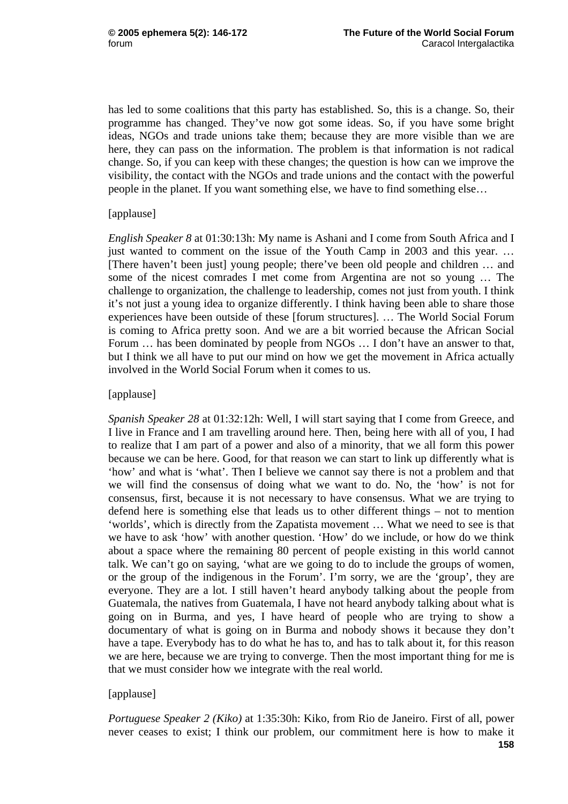has led to some coalitions that this party has established. So, this is a change. So, their programme has changed. They've now got some ideas. So, if you have some bright ideas, NGOs and trade unions take them; because they are more visible than we are here, they can pass on the information. The problem is that information is not radical change. So, if you can keep with these changes; the question is how can we improve the visibility, the contact with the NGOs and trade unions and the contact with the powerful people in the planet. If you want something else, we have to find something else…

## [applause]

*English Speaker 8* at 01:30:13h: My name is Ashani and I come from South Africa and I just wanted to comment on the issue of the Youth Camp in 2003 and this year. … [There haven't been just] young people; there've been old people and children … and some of the nicest comrades I met come from Argentina are not so young … The challenge to organization, the challenge to leadership, comes not just from youth. I think it's not just a young idea to organize differently. I think having been able to share those experiences have been outside of these [forum structures]. … The World Social Forum is coming to Africa pretty soon. And we are a bit worried because the African Social Forum … has been dominated by people from NGOs … I don't have an answer to that, but I think we all have to put our mind on how we get the movement in Africa actually involved in the World Social Forum when it comes to us.

## [applause]

*Spanish Speaker 28* at 01:32:12h: Well, I will start saying that I come from Greece, and I live in France and I am travelling around here. Then, being here with all of you, I had to realize that I am part of a power and also of a minority, that we all form this power because we can be here. Good, for that reason we can start to link up differently what is 'how' and what is 'what'. Then I believe we cannot say there is not a problem and that we will find the consensus of doing what we want to do. No, the 'how' is not for consensus, first, because it is not necessary to have consensus. What we are trying to defend here is something else that leads us to other different things – not to mention 'worlds', which is directly from the Zapatista movement … What we need to see is that we have to ask 'how' with another question. 'How' do we include, or how do we think about a space where the remaining 80 percent of people existing in this world cannot talk. We can't go on saying, 'what are we going to do to include the groups of women, or the group of the indigenous in the Forum'. I'm sorry, we are the 'group', they are everyone. They are a lot. I still haven't heard anybody talking about the people from Guatemala, the natives from Guatemala, I have not heard anybody talking about what is going on in Burma, and yes, I have heard of people who are trying to show a documentary of what is going on in Burma and nobody shows it because they don't have a tape. Everybody has to do what he has to, and has to talk about it, for this reason we are here, because we are trying to converge. Then the most important thing for me is that we must consider how we integrate with the real world.

# [applause]

*Portuguese Speaker 2 (Kiko)* at 1:35:30h: Kiko, from Rio de Janeiro. First of all, power never ceases to exist; I think our problem, our commitment here is how to make it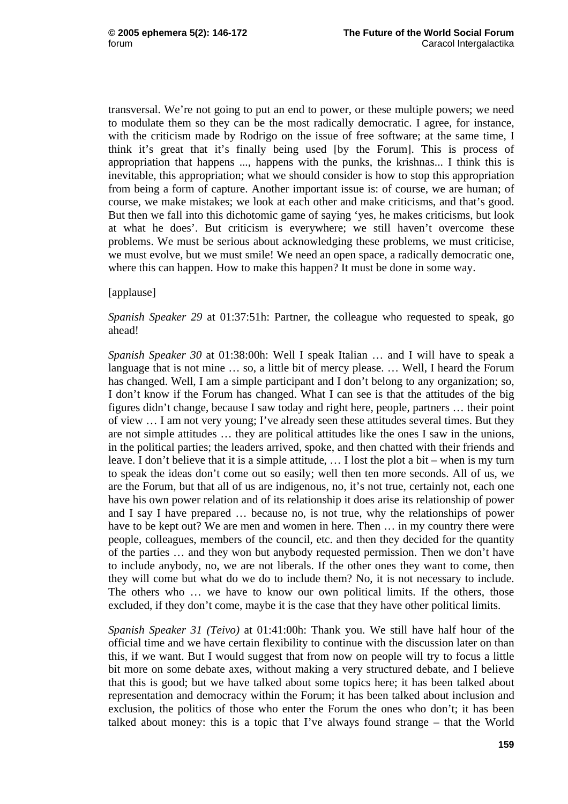transversal. We're not going to put an end to power, or these multiple powers; we need to modulate them so they can be the most radically democratic. I agree, for instance, with the criticism made by Rodrigo on the issue of free software; at the same time, I think it's great that it's finally being used [by the Forum]. This is process of appropriation that happens ..., happens with the punks, the krishnas... I think this is inevitable, this appropriation; what we should consider is how to stop this appropriation from being a form of capture. Another important issue is: of course, we are human; of course, we make mistakes; we look at each other and make criticisms, and that's good. But then we fall into this dichotomic game of saying 'yes, he makes criticisms, but look at what he does'. But criticism is everywhere; we still haven't overcome these problems. We must be serious about acknowledging these problems, we must criticise, we must evolve, but we must smile! We need an open space, a radically democratic one, where this can happen. How to make this happen? It must be done in some way.

#### [applause]

### *Spanish Speaker 29* at 01:37:51h: Partner, the colleague who requested to speak, go ahead!

*Spanish Speaker 30* at 01:38:00h: Well I speak Italian … and I will have to speak a language that is not mine ... so, a little bit of mercy please. ... Well, I heard the Forum has changed. Well, I am a simple participant and I don't belong to any organization; so, I don't know if the Forum has changed. What I can see is that the attitudes of the big figures didn't change, because I saw today and right here, people, partners … their point of view … I am not very young; I've already seen these attitudes several times. But they are not simple attitudes … they are political attitudes like the ones I saw in the unions, in the political parties; the leaders arrived, spoke, and then chatted with their friends and leave. I don't believe that it is a simple attitude, … I lost the plot a bit – when is my turn to speak the ideas don't come out so easily; well then ten more seconds. All of us, we are the Forum, but that all of us are indigenous, no, it's not true, certainly not, each one have his own power relation and of its relationship it does arise its relationship of power and I say I have prepared … because no, is not true, why the relationships of power have to be kept out? We are men and women in here. Then ... in my country there were people, colleagues, members of the council, etc. and then they decided for the quantity of the parties … and they won but anybody requested permission. Then we don't have to include anybody, no, we are not liberals. If the other ones they want to come, then they will come but what do we do to include them? No, it is not necessary to include. The others who … we have to know our own political limits. If the others, those excluded, if they don't come, maybe it is the case that they have other political limits.

*Spanish Speaker 31 (Teivo)* at 01:41:00h: Thank you. We still have half hour of the official time and we have certain flexibility to continue with the discussion later on than this, if we want. But I would suggest that from now on people will try to focus a little bit more on some debate axes, without making a very structured debate, and I believe that this is good; but we have talked about some topics here; it has been talked about representation and democracy within the Forum; it has been talked about inclusion and exclusion, the politics of those who enter the Forum the ones who don't; it has been talked about money: this is a topic that I've always found strange – that the World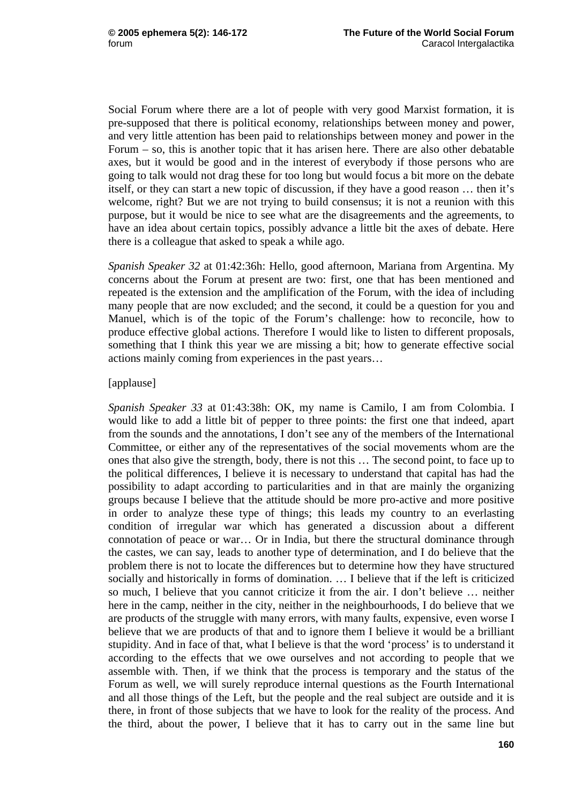Social Forum where there are a lot of people with very good Marxist formation, it is pre-supposed that there is political economy, relationships between money and power, and very little attention has been paid to relationships between money and power in the Forum – so, this is another topic that it has arisen here. There are also other debatable axes, but it would be good and in the interest of everybody if those persons who are going to talk would not drag these for too long but would focus a bit more on the debate itself, or they can start a new topic of discussion, if they have a good reason … then it's welcome, right? But we are not trying to build consensus; it is not a reunion with this purpose, but it would be nice to see what are the disagreements and the agreements, to have an idea about certain topics, possibly advance a little bit the axes of debate. Here there is a colleague that asked to speak a while ago.

*Spanish Speaker 32* at 01:42:36h: Hello, good afternoon, Mariana from Argentina. My concerns about the Forum at present are two: first, one that has been mentioned and repeated is the extension and the amplification of the Forum, with the idea of including many people that are now excluded; and the second, it could be a question for you and Manuel, which is of the topic of the Forum's challenge: how to reconcile, how to produce effective global actions. Therefore I would like to listen to different proposals, something that I think this year we are missing a bit; how to generate effective social actions mainly coming from experiences in the past years…

## [applause]

*Spanish Speaker 33* at 01:43:38h: OK, my name is Camilo, I am from Colombia. I would like to add a little bit of pepper to three points: the first one that indeed, apart from the sounds and the annotations, I don't see any of the members of the International Committee, or either any of the representatives of the social movements whom are the ones that also give the strength, body, there is not this … The second point, to face up to the political differences, I believe it is necessary to understand that capital has had the possibility to adapt according to particularities and in that are mainly the organizing groups because I believe that the attitude should be more pro-active and more positive in order to analyze these type of things; this leads my country to an everlasting condition of irregular war which has generated a discussion about a different connotation of peace or war… Or in India, but there the structural dominance through the castes, we can say, leads to another type of determination, and I do believe that the problem there is not to locate the differences but to determine how they have structured socially and historically in forms of domination. … I believe that if the left is criticized so much, I believe that you cannot criticize it from the air. I don't believe … neither here in the camp, neither in the city, neither in the neighbourhoods, I do believe that we are products of the struggle with many errors, with many faults, expensive, even worse I believe that we are products of that and to ignore them I believe it would be a brilliant stupidity. And in face of that, what I believe is that the word 'process' is to understand it according to the effects that we owe ourselves and not according to people that we assemble with. Then, if we think that the process is temporary and the status of the Forum as well, we will surely reproduce internal questions as the Fourth International and all those things of the Left, but the people and the real subject are outside and it is there, in front of those subjects that we have to look for the reality of the process. And the third, about the power, I believe that it has to carry out in the same line but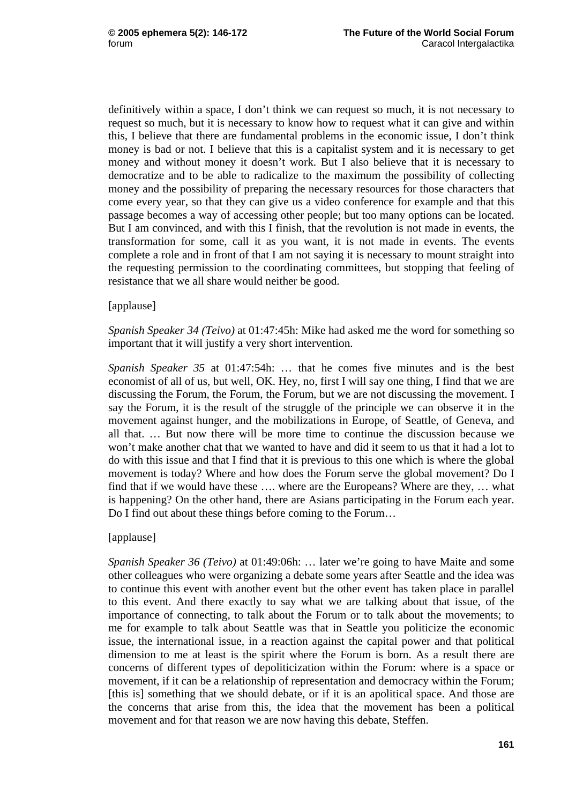definitively within a space, I don't think we can request so much, it is not necessary to request so much, but it is necessary to know how to request what it can give and within this, I believe that there are fundamental problems in the economic issue, I don't think money is bad or not. I believe that this is a capitalist system and it is necessary to get money and without money it doesn't work. But I also believe that it is necessary to democratize and to be able to radicalize to the maximum the possibility of collecting money and the possibility of preparing the necessary resources for those characters that come every year, so that they can give us a video conference for example and that this passage becomes a way of accessing other people; but too many options can be located. But I am convinced, and with this I finish, that the revolution is not made in events, the transformation for some, call it as you want, it is not made in events. The events complete a role and in front of that I am not saying it is necessary to mount straight into the requesting permission to the coordinating committees, but stopping that feeling of resistance that we all share would neither be good.

[applause]

*Spanish Speaker 34 (Teivo)* at 01:47:45h: Mike had asked me the word for something so important that it will justify a very short intervention.

*Spanish Speaker 35* at 01:47:54h: … that he comes five minutes and is the best economist of all of us, but well, OK. Hey, no, first I will say one thing, I find that we are discussing the Forum, the Forum, the Forum, but we are not discussing the movement. I say the Forum, it is the result of the struggle of the principle we can observe it in the movement against hunger, and the mobilizations in Europe, of Seattle, of Geneva, and all that. … But now there will be more time to continue the discussion because we won't make another chat that we wanted to have and did it seem to us that it had a lot to do with this issue and that I find that it is previous to this one which is where the global movement is today? Where and how does the Forum serve the global movement? Do I find that if we would have these …. where are the Europeans? Where are they, … what is happening? On the other hand, there are Asians participating in the Forum each year. Do I find out about these things before coming to the Forum…

# [applause]

*Spanish Speaker 36 (Teivo)* at 01:49:06h: … later we're going to have Maite and some other colleagues who were organizing a debate some years after Seattle and the idea was to continue this event with another event but the other event has taken place in parallel to this event. And there exactly to say what we are talking about that issue, of the importance of connecting, to talk about the Forum or to talk about the movements; to me for example to talk about Seattle was that in Seattle you politicize the economic issue, the international issue, in a reaction against the capital power and that political dimension to me at least is the spirit where the Forum is born. As a result there are concerns of different types of depoliticization within the Forum: where is a space or movement, if it can be a relationship of representation and democracy within the Forum; [this is] something that we should debate, or if it is an apolitical space. And those are the concerns that arise from this, the idea that the movement has been a political movement and for that reason we are now having this debate, Steffen.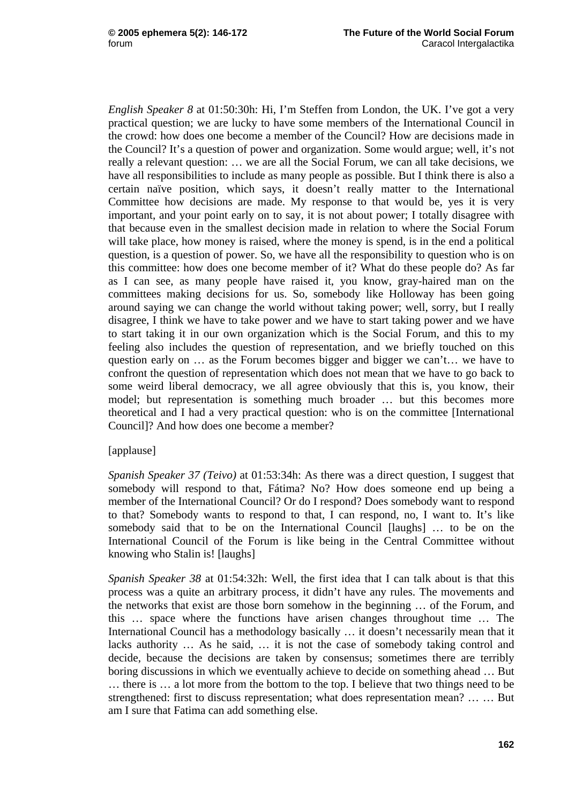*English Speaker 8* at 01:50:30h: Hi, I'm Steffen from London, the UK. I've got a very practical question; we are lucky to have some members of the International Council in the crowd: how does one become a member of the Council? How are decisions made in the Council? It's a question of power and organization. Some would argue; well, it's not really a relevant question: … we are all the Social Forum, we can all take decisions, we have all responsibilities to include as many people as possible. But I think there is also a certain naïve position, which says, it doesn't really matter to the International Committee how decisions are made. My response to that would be, yes it is very important, and your point early on to say, it is not about power; I totally disagree with that because even in the smallest decision made in relation to where the Social Forum will take place, how money is raised, where the money is spend, is in the end a political question, is a question of power. So, we have all the responsibility to question who is on this committee: how does one become member of it? What do these people do? As far as I can see, as many people have raised it, you know, gray-haired man on the committees making decisions for us. So, somebody like Holloway has been going around saying we can change the world without taking power; well, sorry, but I really disagree, I think we have to take power and we have to start taking power and we have to start taking it in our own organization which is the Social Forum, and this to my feeling also includes the question of representation, and we briefly touched on this question early on … as the Forum becomes bigger and bigger we can't… we have to confront the question of representation which does not mean that we have to go back to some weird liberal democracy, we all agree obviously that this is, you know, their model; but representation is something much broader … but this becomes more theoretical and I had a very practical question: who is on the committee [International Council]? And how does one become a member?

#### [applause]

*Spanish Speaker 37 (Teivo)* at 01:53:34h: As there was a direct question, I suggest that somebody will respond to that, Fátima? No? How does someone end up being a member of the International Council? Or do I respond? Does somebody want to respond to that? Somebody wants to respond to that, I can respond, no, I want to. It's like somebody said that to be on the International Council [laughs] … to be on the International Council of the Forum is like being in the Central Committee without knowing who Stalin is! [laughs]

*Spanish Speaker 38* at 01:54:32h: Well, the first idea that I can talk about is that this process was a quite an arbitrary process, it didn't have any rules. The movements and the networks that exist are those born somehow in the beginning … of the Forum, and this … space where the functions have arisen changes throughout time … The International Council has a methodology basically … it doesn't necessarily mean that it lacks authority … As he said, … it is not the case of somebody taking control and decide, because the decisions are taken by consensus; sometimes there are terribly boring discussions in which we eventually achieve to decide on something ahead … But … there is … a lot more from the bottom to the top. I believe that two things need to be strengthened: first to discuss representation; what does representation mean? … … But am I sure that Fatima can add something else.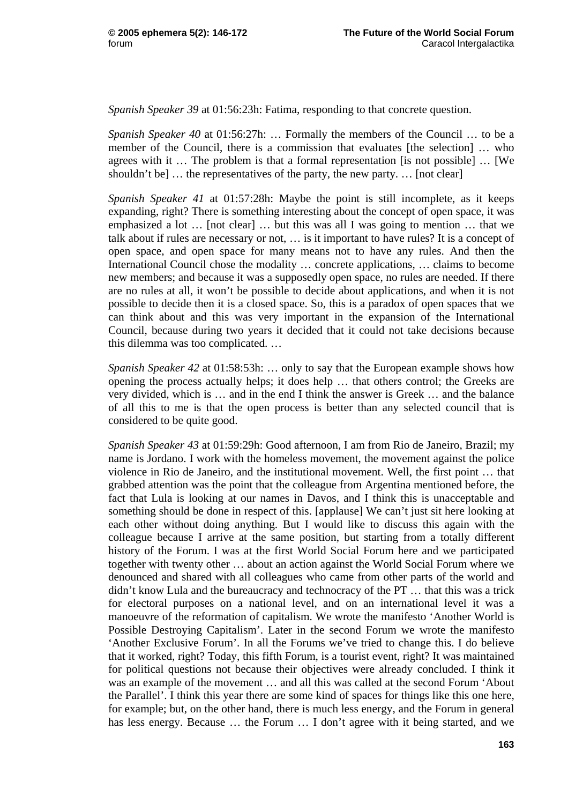*Spanish Speaker 39* at 01:56:23h: Fatima, responding to that concrete question.

*Spanish Speaker 40* at 01:56:27h: … Formally the members of the Council … to be a member of the Council, there is a commission that evaluates [the selection] … who agrees with it … The problem is that a formal representation [is not possible] … [We shouldn't be] ... the representatives of the party, the new party. ... [not clear]

*Spanish Speaker 41* at 01:57:28h: Maybe the point is still incomplete, as it keeps expanding, right? There is something interesting about the concept of open space, it was emphasized a lot … [not clear] … but this was all I was going to mention … that we talk about if rules are necessary or not, … is it important to have rules? It is a concept of open space, and open space for many means not to have any rules. And then the International Council chose the modality … concrete applications, … claims to become new members; and because it was a supposedly open space, no rules are needed. If there are no rules at all, it won't be possible to decide about applications, and when it is not possible to decide then it is a closed space. So, this is a paradox of open spaces that we can think about and this was very important in the expansion of the International Council, because during two years it decided that it could not take decisions because this dilemma was too complicated. …

*Spanish Speaker 42* at 01:58:53h: … only to say that the European example shows how opening the process actually helps; it does help … that others control; the Greeks are very divided, which is … and in the end I think the answer is Greek … and the balance of all this to me is that the open process is better than any selected council that is considered to be quite good.

*Spanish Speaker 43* at 01:59:29h: Good afternoon, I am from Rio de Janeiro, Brazil; my name is Jordano. I work with the homeless movement, the movement against the police violence in Rio de Janeiro, and the institutional movement. Well, the first point … that grabbed attention was the point that the colleague from Argentina mentioned before, the fact that Lula is looking at our names in Davos, and I think this is unacceptable and something should be done in respect of this. [applause] We can't just sit here looking at each other without doing anything. But I would like to discuss this again with the colleague because I arrive at the same position, but starting from a totally different history of the Forum. I was at the first World Social Forum here and we participated together with twenty other … about an action against the World Social Forum where we denounced and shared with all colleagues who came from other parts of the world and didn't know Lula and the bureaucracy and technocracy of the PT … that this was a trick for electoral purposes on a national level, and on an international level it was a manoeuvre of the reformation of capitalism. We wrote the manifesto 'Another World is Possible Destroying Capitalism'. Later in the second Forum we wrote the manifesto 'Another Exclusive Forum'. In all the Forums we've tried to change this. I do believe that it worked, right? Today, this fifth Forum, is a tourist event, right? It was maintained for political questions not because their objectives were already concluded. I think it was an example of the movement … and all this was called at the second Forum 'About the Parallel'. I think this year there are some kind of spaces for things like this one here, for example; but, on the other hand, there is much less energy, and the Forum in general has less energy. Because ... the Forum ... I don't agree with it being started, and we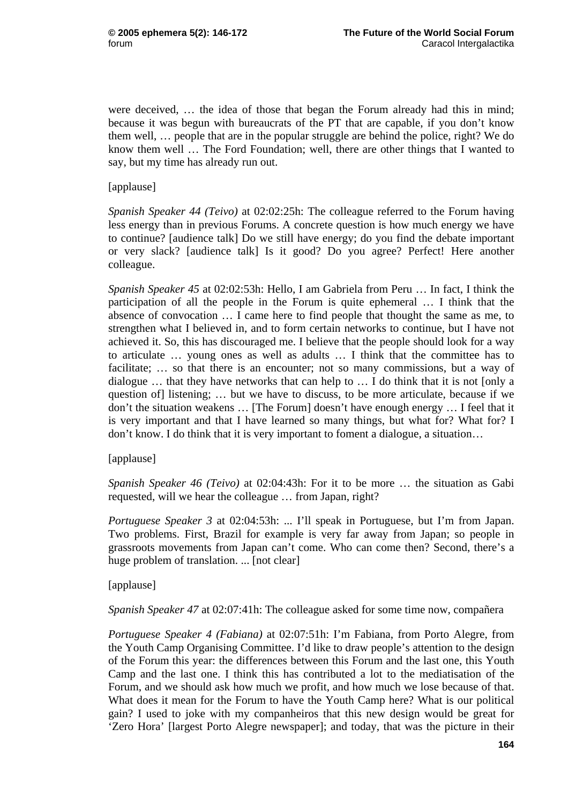were deceived, … the idea of those that began the Forum already had this in mind; because it was begun with bureaucrats of the PT that are capable, if you don't know them well, … people that are in the popular struggle are behind the police, right? We do know them well … The Ford Foundation; well, there are other things that I wanted to say, but my time has already run out.

[applause]

*Spanish Speaker 44 (Teivo)* at 02:02:25h: The colleague referred to the Forum having less energy than in previous Forums. A concrete question is how much energy we have to continue? [audience talk] Do we still have energy; do you find the debate important or very slack? [audience talk] Is it good? Do you agree? Perfect! Here another colleague.

*Spanish Speaker 45* at 02:02:53h: Hello, I am Gabriela from Peru … In fact, I think the participation of all the people in the Forum is quite ephemeral … I think that the absence of convocation … I came here to find people that thought the same as me, to strengthen what I believed in, and to form certain networks to continue, but I have not achieved it. So, this has discouraged me. I believe that the people should look for a way to articulate … young ones as well as adults … I think that the committee has to facilitate; ... so that there is an encounter; not so many commissions, but a way of dialogue … that they have networks that can help to … I do think that it is not [only a question of] listening; … but we have to discuss, to be more articulate, because if we don't the situation weakens … [The Forum] doesn't have enough energy … I feel that it is very important and that I have learned so many things, but what for? What for? I don't know. I do think that it is very important to foment a dialogue, a situation…

[applause]

*Spanish Speaker 46 (Teivo)* at 02:04:43h: For it to be more … the situation as Gabi requested, will we hear the colleague … from Japan, right?

*Portuguese Speaker 3 at 02:04:53h: ... I'll speak in Portuguese, but I'm from Japan.* Two problems. First, Brazil for example is very far away from Japan; so people in grassroots movements from Japan can't come. Who can come then? Second, there's a huge problem of translation. ... [not clear]

[applause]

*Spanish Speaker 47* at 02:07:41h: The colleague asked for some time now, compañera

*Portuguese Speaker 4 (Fabiana)* at 02:07:51h: I'm Fabiana, from Porto Alegre, from the Youth Camp Organising Committee. I'd like to draw people's attention to the design of the Forum this year: the differences between this Forum and the last one, this Youth Camp and the last one. I think this has contributed a lot to the mediatisation of the Forum, and we should ask how much we profit, and how much we lose because of that. What does it mean for the Forum to have the Youth Camp here? What is our political gain? I used to joke with my companheiros that this new design would be great for 'Zero Hora' [largest Porto Alegre newspaper]; and today, that was the picture in their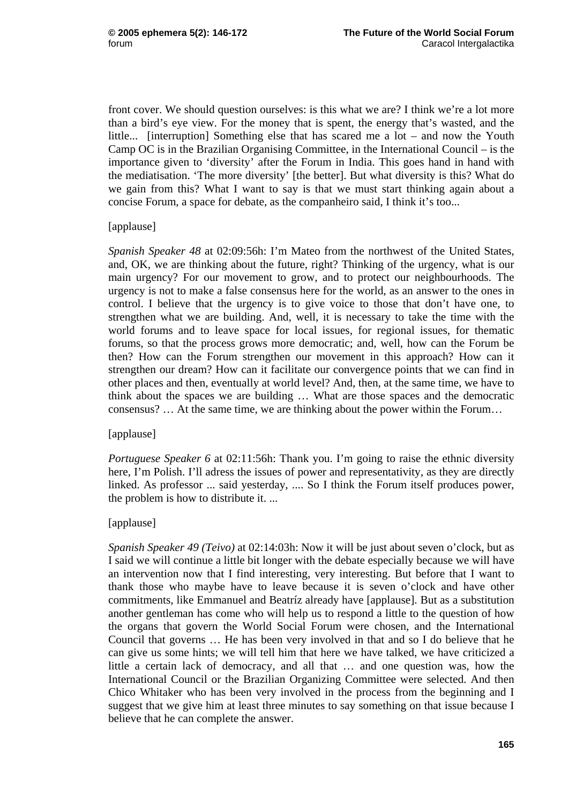front cover. We should question ourselves: is this what we are? I think we're a lot more than a bird's eye view. For the money that is spent, the energy that's wasted, and the little... [interruption] Something else that has scared me a lot – and now the Youth Camp OC is in the Brazilian Organising Committee, in the International Council – is the importance given to 'diversity' after the Forum in India. This goes hand in hand with the mediatisation. 'The more diversity' [the better]. But what diversity is this? What do we gain from this? What I want to say is that we must start thinking again about a concise Forum, a space for debate, as the companheiro said, I think it's too...

## [applause]

*Spanish Speaker 48* at 02:09:56h: I'm Mateo from the northwest of the United States, and, OK, we are thinking about the future, right? Thinking of the urgency, what is our main urgency? For our movement to grow, and to protect our neighbourhoods. The urgency is not to make a false consensus here for the world, as an answer to the ones in control. I believe that the urgency is to give voice to those that don't have one, to strengthen what we are building. And, well, it is necessary to take the time with the world forums and to leave space for local issues, for regional issues, for thematic forums, so that the process grows more democratic; and, well, how can the Forum be then? How can the Forum strengthen our movement in this approach? How can it strengthen our dream? How can it facilitate our convergence points that we can find in other places and then, eventually at world level? And, then, at the same time, we have to think about the spaces we are building … What are those spaces and the democratic consensus? … At the same time, we are thinking about the power within the Forum…

# [applause]

*Portuguese Speaker 6* at 02:11:56h: Thank you. I'm going to raise the ethnic diversity here, I'm Polish. I'll adress the issues of power and representativity, as they are directly linked. As professor ... said yesterday, .... So I think the Forum itself produces power, the problem is how to distribute it. ...

# [applause]

*Spanish Speaker 49 (Teivo)* at 02:14:03h: Now it will be just about seven o'clock, but as I said we will continue a little bit longer with the debate especially because we will have an intervention now that I find interesting, very interesting. But before that I want to thank those who maybe have to leave because it is seven o'clock and have other commitments, like Emmanuel and Beatríz already have [applause]. But as a substitution another gentleman has come who will help us to respond a little to the question of how the organs that govern the World Social Forum were chosen, and the International Council that governs … He has been very involved in that and so I do believe that he can give us some hints; we will tell him that here we have talked, we have criticized a little a certain lack of democracy, and all that … and one question was, how the International Council or the Brazilian Organizing Committee were selected. And then Chico Whitaker who has been very involved in the process from the beginning and I suggest that we give him at least three minutes to say something on that issue because I believe that he can complete the answer.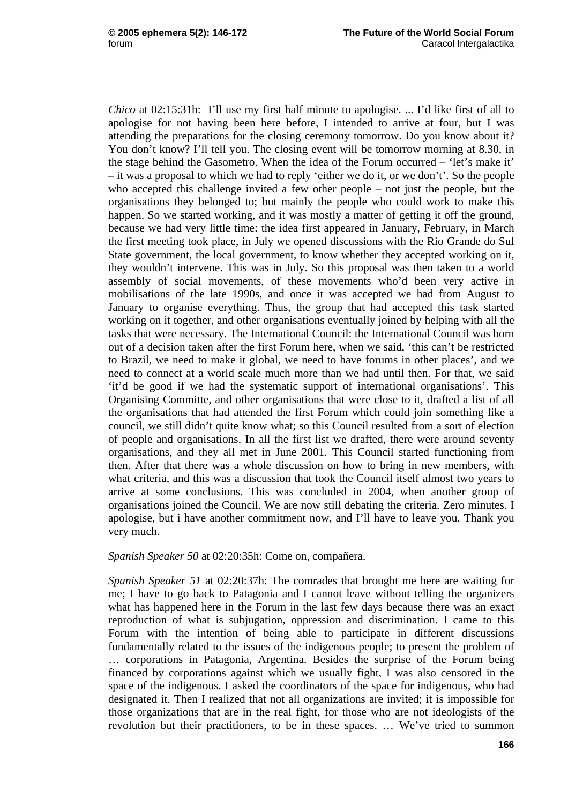*Chico* at 02:15:31h: I'll use my first half minute to apologise. ... I'd like first of all to apologise for not having been here before, I intended to arrive at four, but I was attending the preparations for the closing ceremony tomorrow. Do you know about it? You don't know? I'll tell you. The closing event will be tomorrow morning at 8.30, in the stage behind the Gasometro. When the idea of the Forum occurred – 'let's make it' – it was a proposal to which we had to reply 'either we do it, or we don't'. So the people who accepted this challenge invited a few other people – not just the people, but the organisations they belonged to; but mainly the people who could work to make this happen. So we started working, and it was mostly a matter of getting it off the ground, because we had very little time: the idea first appeared in January, February, in March the first meeting took place, in July we opened discussions with the Rio Grande do Sul State government, the local government, to know whether they accepted working on it, they wouldn't intervene. This was in July. So this proposal was then taken to a world assembly of social movements, of these movements who'd been very active in mobilisations of the late 1990s, and once it was accepted we had from August to January to organise everything. Thus, the group that had accepted this task started working on it together, and other organisations eventually joined by helping with all the tasks that were necessary. The International Council: the International Council was born out of a decision taken after the first Forum here, when we said, 'this can't be restricted to Brazil, we need to make it global, we need to have forums in other places', and we need to connect at a world scale much more than we had until then. For that, we said 'it'd be good if we had the systematic support of international organisations'. This Organising Committe, and other organisations that were close to it, drafted a list of all the organisations that had attended the first Forum which could join something like a council, we still didn't quite know what; so this Council resulted from a sort of election of people and organisations. In all the first list we drafted, there were around seventy organisations, and they all met in June 2001. This Council started functioning from then. After that there was a whole discussion on how to bring in new members, with what criteria, and this was a discussion that took the Council itself almost two years to arrive at some conclusions. This was concluded in 2004, when another group of organisations joined the Council. We are now still debating the criteria. Zero minutes. I apologise, but i have another commitment now, and I'll have to leave you. Thank you very much.

#### *Spanish Speaker 50* at 02:20:35h: Come on, compañera.

*Spanish Speaker 51* at 02:20:37h: The comrades that brought me here are waiting for me; I have to go back to Patagonia and I cannot leave without telling the organizers what has happened here in the Forum in the last few days because there was an exact reproduction of what is subjugation, oppression and discrimination. I came to this Forum with the intention of being able to participate in different discussions fundamentally related to the issues of the indigenous people; to present the problem of … corporations in Patagonia, Argentina. Besides the surprise of the Forum being financed by corporations against which we usually fight, I was also censored in the space of the indigenous. I asked the coordinators of the space for indigenous, who had designated it. Then I realized that not all organizations are invited; it is impossible for those organizations that are in the real fight, for those who are not ideologists of the revolution but their practitioners, to be in these spaces. … We've tried to summon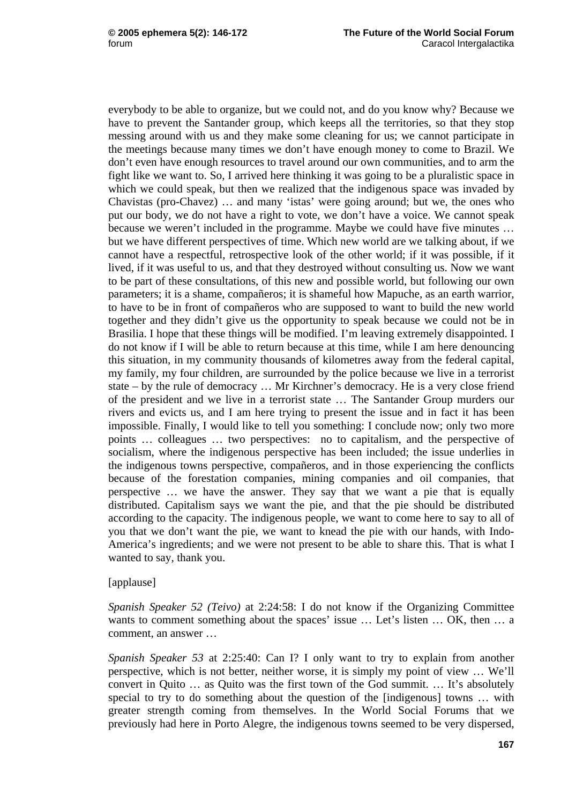everybody to be able to organize, but we could not, and do you know why? Because we have to prevent the Santander group, which keeps all the territories, so that they stop messing around with us and they make some cleaning for us; we cannot participate in the meetings because many times we don't have enough money to come to Brazil. We don't even have enough resources to travel around our own communities, and to arm the fight like we want to. So, I arrived here thinking it was going to be a pluralistic space in which we could speak, but then we realized that the indigenous space was invaded by Chavistas (pro-Chavez) … and many 'istas' were going around; but we, the ones who put our body, we do not have a right to vote, we don't have a voice. We cannot speak because we weren't included in the programme. Maybe we could have five minutes … but we have different perspectives of time. Which new world are we talking about, if we cannot have a respectful, retrospective look of the other world; if it was possible, if it lived, if it was useful to us, and that they destroyed without consulting us. Now we want to be part of these consultations, of this new and possible world, but following our own parameters; it is a shame, compañeros; it is shameful how Mapuche, as an earth warrior, to have to be in front of compañeros who are supposed to want to build the new world together and they didn't give us the opportunity to speak because we could not be in Brasilia. I hope that these things will be modified. I'm leaving extremely disappointed. I do not know if I will be able to return because at this time, while I am here denouncing this situation, in my community thousands of kilometres away from the federal capital, my family, my four children, are surrounded by the police because we live in a terrorist state – by the rule of democracy … Mr Kirchner's democracy. He is a very close friend of the president and we live in a terrorist state … The Santander Group murders our rivers and evicts us, and I am here trying to present the issue and in fact it has been impossible. Finally, I would like to tell you something: I conclude now; only two more points … colleagues … two perspectives: no to capitalism, and the perspective of socialism, where the indigenous perspective has been included; the issue underlies in the indigenous towns perspective, compañeros, and in those experiencing the conflicts because of the forestation companies, mining companies and oil companies, that perspective … we have the answer. They say that we want a pie that is equally distributed. Capitalism says we want the pie, and that the pie should be distributed according to the capacity. The indigenous people, we want to come here to say to all of you that we don't want the pie, we want to knead the pie with our hands, with Indo-America's ingredients; and we were not present to be able to share this. That is what I wanted to say, thank you.

#### [applause]

*Spanish Speaker 52 (Teivo)* at 2:24:58: I do not know if the Organizing Committee wants to comment something about the spaces' issue … Let's listen … OK, then … a comment, an answer …

*Spanish Speaker 53* at 2:25:40: Can I? I only want to try to explain from another perspective, which is not better, neither worse, it is simply my point of view … We'll convert in Quito … as Quito was the first town of the God summit. … It's absolutely special to try to do something about the question of the [indigenous] towns … with greater strength coming from themselves. In the World Social Forums that we previously had here in Porto Alegre, the indigenous towns seemed to be very dispersed,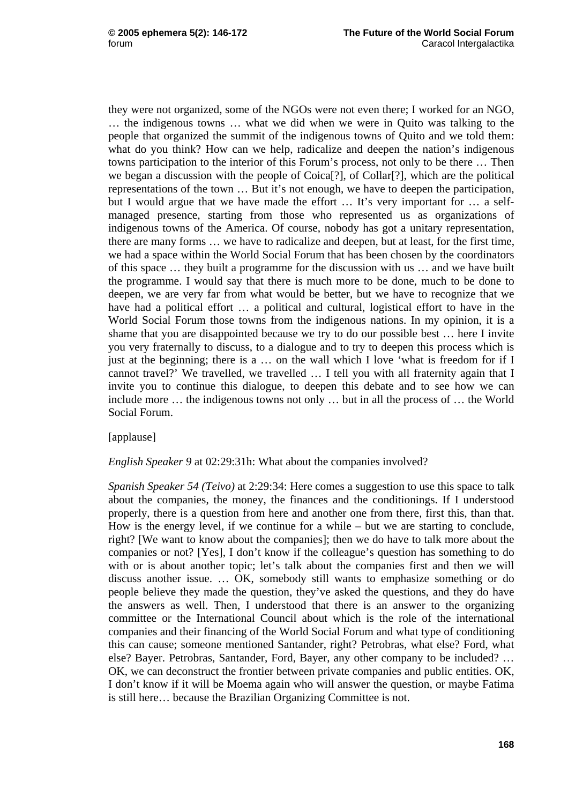they were not organized, some of the NGOs were not even there; I worked for an NGO, … the indigenous towns … what we did when we were in Quito was talking to the people that organized the summit of the indigenous towns of Quito and we told them: what do you think? How can we help, radicalize and deepen the nation's indigenous towns participation to the interior of this Forum's process, not only to be there … Then we began a discussion with the people of Coica[?], of Collar[?], which are the political representations of the town … But it's not enough, we have to deepen the participation, but I would argue that we have made the effort … It's very important for … a selfmanaged presence, starting from those who represented us as organizations of indigenous towns of the America. Of course, nobody has got a unitary representation, there are many forms … we have to radicalize and deepen, but at least, for the first time, we had a space within the World Social Forum that has been chosen by the coordinators of this space … they built a programme for the discussion with us … and we have built the programme. I would say that there is much more to be done, much to be done to deepen, we are very far from what would be better, but we have to recognize that we have had a political effort ... a political and cultural, logistical effort to have in the World Social Forum those towns from the indigenous nations. In my opinion, it is a shame that you are disappointed because we try to do our possible best … here I invite you very fraternally to discuss, to a dialogue and to try to deepen this process which is just at the beginning; there is a … on the wall which I love 'what is freedom for if I cannot travel?' We travelled, we travelled … I tell you with all fraternity again that I invite you to continue this dialogue, to deepen this debate and to see how we can include more … the indigenous towns not only … but in all the process of … the World Social Forum.

#### [applause]

## *English Speaker 9* at 02:29:31h: What about the companies involved?

*Spanish Speaker 54 (Teivo)* at 2:29:34: Here comes a suggestion to use this space to talk about the companies, the money, the finances and the conditionings. If I understood properly, there is a question from here and another one from there, first this, than that. How is the energy level, if we continue for a while – but we are starting to conclude, right? [We want to know about the companies]; then we do have to talk more about the companies or not? [Yes], I don't know if the colleague's question has something to do with or is about another topic; let's talk about the companies first and then we will discuss another issue. … OK, somebody still wants to emphasize something or do people believe they made the question, they've asked the questions, and they do have the answers as well. Then, I understood that there is an answer to the organizing committee or the International Council about which is the role of the international companies and their financing of the World Social Forum and what type of conditioning this can cause; someone mentioned Santander, right? Petrobras, what else? Ford, what else? Bayer. Petrobras, Santander, Ford, Bayer, any other company to be included? … OK, we can deconstruct the frontier between private companies and public entities. OK, I don't know if it will be Moema again who will answer the question, or maybe Fatima is still here… because the Brazilian Organizing Committee is not.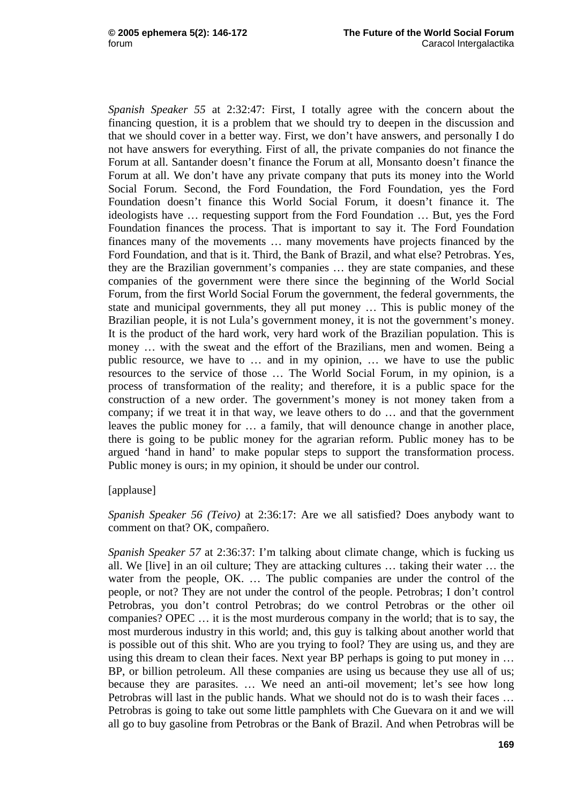*Spanish Speaker 55* at 2:32:47: First, I totally agree with the concern about the financing question, it is a problem that we should try to deepen in the discussion and that we should cover in a better way. First, we don't have answers, and personally I do not have answers for everything. First of all, the private companies do not finance the Forum at all. Santander doesn't finance the Forum at all, Monsanto doesn't finance the Forum at all. We don't have any private company that puts its money into the World Social Forum. Second, the Ford Foundation, the Ford Foundation, yes the Ford Foundation doesn't finance this World Social Forum, it doesn't finance it. The ideologists have … requesting support from the Ford Foundation … But, yes the Ford Foundation finances the process. That is important to say it. The Ford Foundation finances many of the movements … many movements have projects financed by the Ford Foundation, and that is it. Third, the Bank of Brazil, and what else? Petrobras. Yes, they are the Brazilian government's companies … they are state companies, and these companies of the government were there since the beginning of the World Social Forum, from the first World Social Forum the government, the federal governments, the state and municipal governments, they all put money … This is public money of the Brazilian people, it is not Lula's government money, it is not the government's money. It is the product of the hard work, very hard work of the Brazilian population. This is money … with the sweat and the effort of the Brazilians, men and women. Being a public resource, we have to … and in my opinion, … we have to use the public resources to the service of those … The World Social Forum, in my opinion, is a process of transformation of the reality; and therefore, it is a public space for the construction of a new order. The government's money is not money taken from a company; if we treat it in that way, we leave others to do … and that the government leaves the public money for … a family, that will denounce change in another place, there is going to be public money for the agrarian reform. Public money has to be argued 'hand in hand' to make popular steps to support the transformation process. Public money is ours; in my opinion, it should be under our control.

#### [applause]

*Spanish Speaker 56 (Teivo)* at 2:36:17: Are we all satisfied? Does anybody want to comment on that? OK, compañero.

*Spanish Speaker 57* at 2:36:37: I'm talking about climate change, which is fucking us all. We [live] in an oil culture; They are attacking cultures … taking their water … the water from the people, OK. … The public companies are under the control of the people, or not? They are not under the control of the people. Petrobras; I don't control Petrobras, you don't control Petrobras; do we control Petrobras or the other oil companies? OPEC … it is the most murderous company in the world; that is to say, the most murderous industry in this world; and, this guy is talking about another world that is possible out of this shit. Who are you trying to fool? They are using us, and they are using this dream to clean their faces. Next year BP perhaps is going to put money in ... BP, or billion petroleum. All these companies are using us because they use all of us; because they are parasites. … We need an anti-oil movement; let's see how long Petrobras will last in the public hands. What we should not do is to wash their faces … Petrobras is going to take out some little pamphlets with Che Guevara on it and we will all go to buy gasoline from Petrobras or the Bank of Brazil. And when Petrobras will be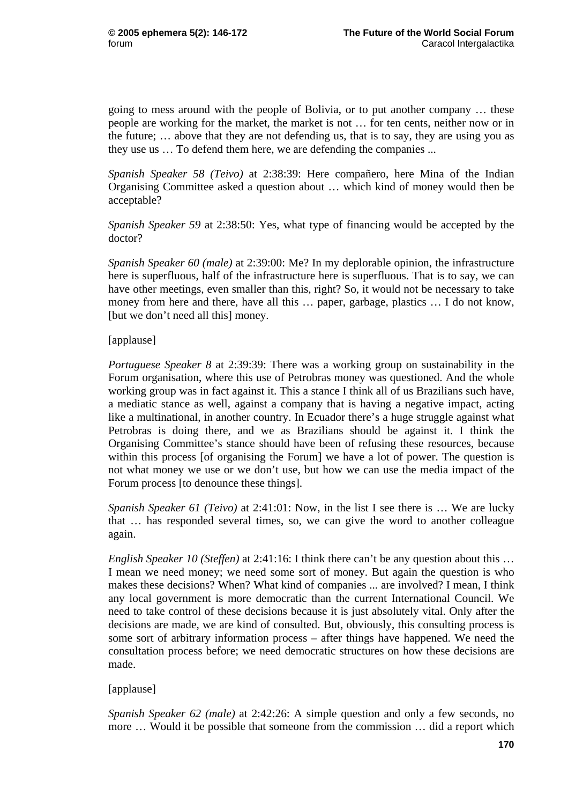going to mess around with the people of Bolivia, or to put another company … these people are working for the market, the market is not … for ten cents, neither now or in the future; … above that they are not defending us, that is to say, they are using you as they use us … To defend them here, we are defending the companies ...

*Spanish Speaker 58 (Teivo)* at 2:38:39: Here compañero, here Mina of the Indian Organising Committee asked a question about … which kind of money would then be acceptable?

*Spanish Speaker 59* at 2:38:50: Yes, what type of financing would be accepted by the doctor?

*Spanish Speaker 60 (male)* at 2:39:00: Me? In my deplorable opinion, the infrastructure here is superfluous, half of the infrastructure here is superfluous. That is to say, we can have other meetings, even smaller than this, right? So, it would not be necessary to take money from here and there, have all this … paper, garbage, plastics … I do not know, [but we don't need all this] money.

# [applause]

*Portuguese Speaker 8* at 2:39:39: There was a working group on sustainability in the Forum organisation, where this use of Petrobras money was questioned. And the whole working group was in fact against it. This a stance I think all of us Brazilians such have, a mediatic stance as well, against a company that is having a negative impact, acting like a multinational, in another country. In Ecuador there's a huge struggle against what Petrobras is doing there, and we as Brazilians should be against it. I think the Organising Committee's stance should have been of refusing these resources, because within this process [of organising the Forum] we have a lot of power. The question is not what money we use or we don't use, but how we can use the media impact of the Forum process [to denounce these things].

*Spanish Speaker 61 (Teivo)* at 2:41:01: Now, in the list I see there is ... We are lucky that … has responded several times, so, we can give the word to another colleague again.

*English Speaker 10 (Steffen)* at 2:41:16: I think there can't be any question about this ... I mean we need money; we need some sort of money. But again the question is who makes these decisions? When? What kind of companies ... are involved? I mean, I think any local government is more democratic than the current International Council. We need to take control of these decisions because it is just absolutely vital. Only after the decisions are made, we are kind of consulted. But, obviously, this consulting process is some sort of arbitrary information process – after things have happened. We need the consultation process before; we need democratic structures on how these decisions are made.

# [applause]

*Spanish Speaker 62 (male)* at 2:42:26: A simple question and only a few seconds, no more … Would it be possible that someone from the commission … did a report which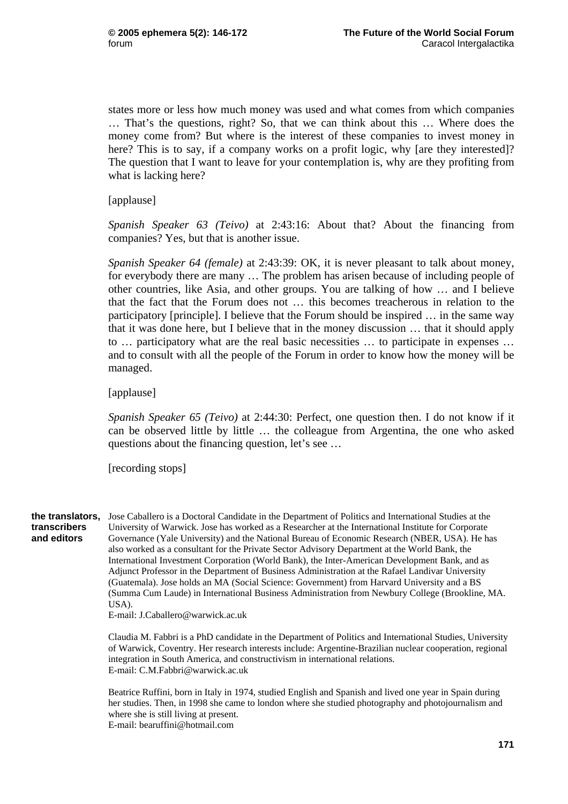states more or less how much money was used and what comes from which companies … That's the questions, right? So, that we can think about this … Where does the money come from? But where is the interest of these companies to invest money in here? This is to say, if a company works on a profit logic, why [are they interested]? The question that I want to leave for your contemplation is, why are they profiting from what is lacking here?

[applause]

*Spanish Speaker 63 (Teivo)* at 2:43:16: About that? About the financing from companies? Yes, but that is another issue.

*Spanish Speaker 64 (female)* at 2:43:39: OK, it is never pleasant to talk about money, for everybody there are many … The problem has arisen because of including people of other countries, like Asia, and other groups. You are talking of how … and I believe that the fact that the Forum does not … this becomes treacherous in relation to the participatory [principle]. I believe that the Forum should be inspired … in the same way that it was done here, but I believe that in the money discussion … that it should apply to … participatory what are the real basic necessities … to participate in expenses … and to consult with all the people of the Forum in order to know how the money will be managed.

[applause]

*Spanish Speaker 65 (Teivo)* at 2:44:30: Perfect, one question then. I do not know if it can be observed little by little … the colleague from Argentina, the one who asked questions about the financing question, let's see …

[recording stops]

**transcribers and editors** 

the translators, Jose Caballero is a Doctoral Candidate in the Department of Politics and International Studies at the University of Warwick. Jose has worked as a Researcher at the International Institute for Corporate Governance (Yale University) and the National Bureau of Economic Research (NBER, USA). He has also worked as a consultant for the Private Sector Advisory Department at the World Bank, the International Investment Corporation (World Bank), the Inter-American Development Bank, and as Adjunct Professor in the Department of Business Administration at the Rafael Landivar University (Guatemala). Jose holds an MA (Social Science: Government) from Harvard University and a BS (Summa Cum Laude) in International Business Administration from Newbury College (Brookline, MA.  $<sub>USA</sub>$ .</sub>

E-mail: J.Caballero@warwick.ac.uk

Claudia M. Fabbri is a PhD candidate in the Department of Politics and International Studies, University of Warwick, Coventry. Her research interests include: Argentine-Brazilian nuclear cooperation, regional integration in South America, and constructivism in international relations. E-mail: C.M.Fabbri@warwick.ac.uk

Beatrice Ruffini, born in Italy in 1974, studied English and Spanish and lived one year in Spain during her studies. Then, in 1998 she came to london where she studied photography and photojournalism and where she is still living at present. E-mail: bearuffini@hotmail.com